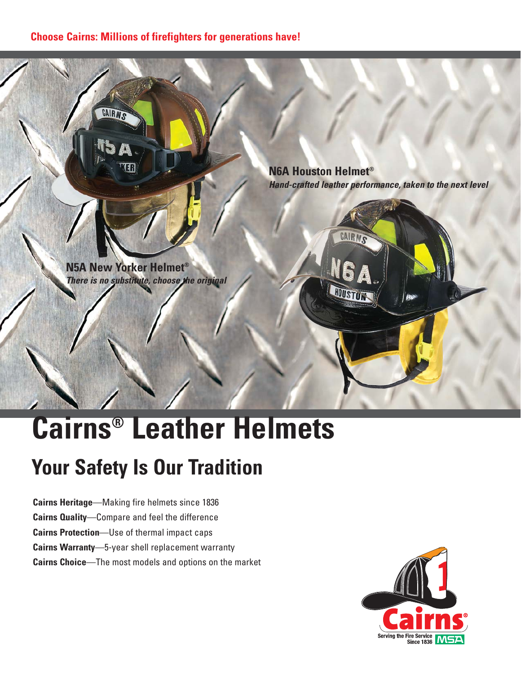#### **Choose Cairns: Millions of firefighters for generations have!**



# **Cairns® Leather Helmets**

# **Your Safety Is Our Tradition**

**Cairns Heritage**—Making fire helmets since 1836 **Cairns Quality**—Compare and feel the difference **Cairns Protection**—Use of thermal impact caps **Cairns Warranty**—5-year shell replacement warranty **Cairns Choice**—The most models and options on the market

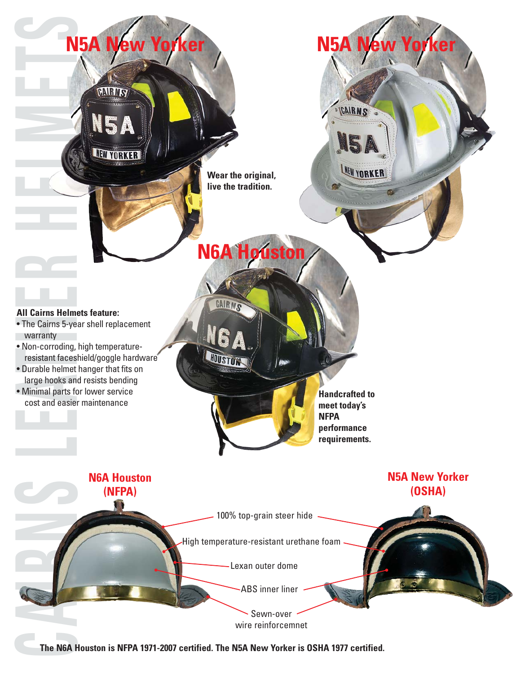

**The N6A Houston is NFPA 1971-2007 certified. The N5A New Yorker is OSHA 1977 certified.**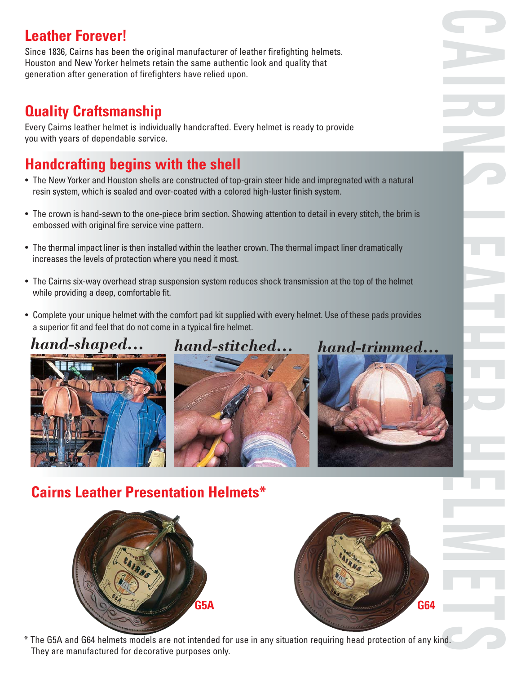# **Leather Forever!**

Since 1836, Cairns has been the original manufacturer of leather firefighting helmets. Houston and New Yorker helmets retain the same authentic look and quality that generation after generation of firefighters have relied upon.

## **Quality Craftsmanship**

Every Cairns leather helmet is individually handcrafted. Every helmet is ready to provide you with years of dependable service.

# **Handcrafting begins with the shell**

- The New Yorker and Houston shells are constructed of top-grain steer hide and impregnated with a natural resin system, which is sealed and over-coated with a colored high-luster finish system.
- The crown is hand-sewn to the one-piece brim section. Showing attention to detail in every stitch, the brim is embossed with original fire service vine pattern.
- The thermal impact liner is then installed within the leather crown. The thermal impact liner dramatically increases the levels of protection where you need it most.
- The Cairns six-way overhead strap suspension system reduces shock transmission at the top of the helmet while providing a deep, comfortable fit.
- Complete your unique helmet with the comfort pad kit supplied with every helmet. Use of these pads provides a superior fit and feel that do not come in a typical fire helmet.

# *hand-shaped... hand-stitched... hand-trimmed...*







# **Cairns Leather Presentation Helmets\***





\* The G5A and G64 helmets models are not intended for use in any situation requiring head protection of any kind. They are manufactured for decorative purposes only.